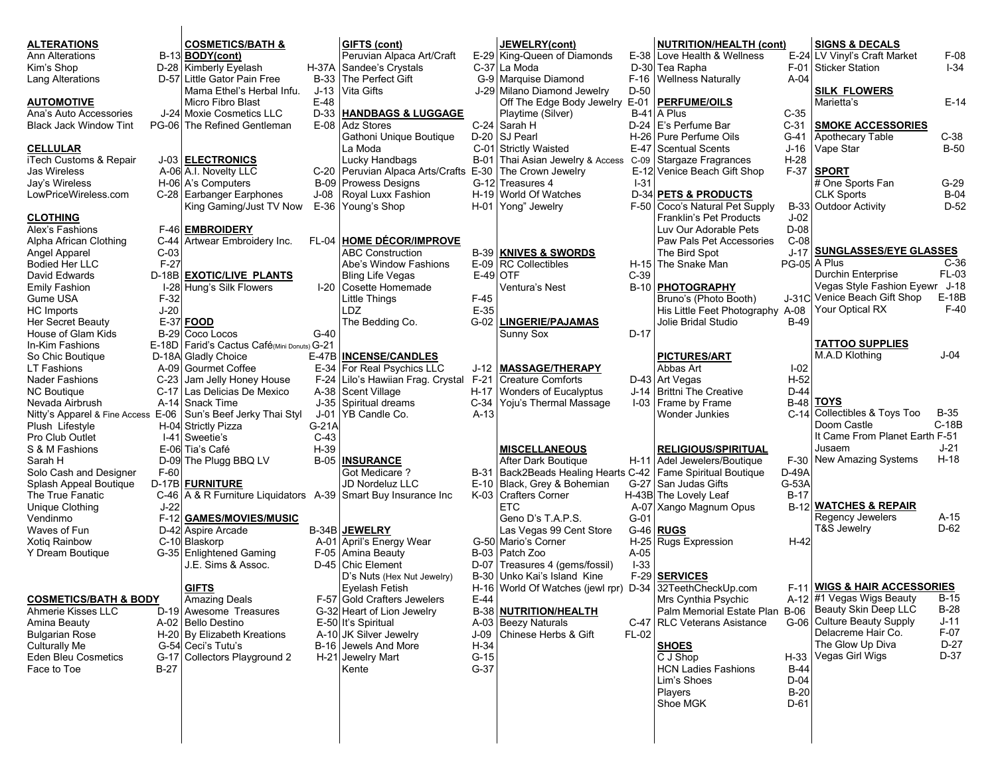| <b>ALTERATIONS</b>                 |        | <b>COSMETICS/BATH &amp;</b>                                      |                 | GIFTS (cont)                                             |            | <b>JEWELRY(cont)</b>                                        |          | <b>NUTRITION/HEALTH (cont)</b>                        |                       | <b>SIGNS &amp; DECALS</b>                |             |
|------------------------------------|--------|------------------------------------------------------------------|-----------------|----------------------------------------------------------|------------|-------------------------------------------------------------|----------|-------------------------------------------------------|-----------------------|------------------------------------------|-------------|
| <b>Ann Alterations</b>             |        | B-13 <b>BODY</b> (cont)                                          |                 | Peruvian Alpaca Art/Craft                                |            | E-29 King-Queen of Diamonds                                 |          | E-38 Love Health & Wellness                           |                       | E-24 LV Vinyl's Craft Market             | F-08        |
| Kim's Shop                         |        | D-28 Kimberly Eyelash                                            |                 | H-37A Sandee's Crystals                                  |            | C-37 La Moda                                                |          | D-30 Tea Rapha                                        |                       | F-01 Sticker Station                     | $I - 34$    |
| <b>Lang Alterations</b>            |        | D-57 Little Gator Pain Free                                      |                 | B-33 The Perfect Gift                                    |            | G-9 Marquise Diamond                                        |          | F-16   Wellness Naturally                             | $A-04$                |                                          |             |
|                                    |        | Mama Ethel's Herbal Infu.                                        |                 | J-13 Vita Gifts                                          |            | J-29 Milano Diamond Jewelry                                 | D-50     |                                                       |                       | <b>SILK FLOWERS</b>                      |             |
| <b>AUTOMOTIVE</b>                  |        | Micro Fibro Blast                                                | $E-48$          |                                                          |            | Off The Edge Body Jewelry                                   |          | E-01   PERFUME/OILS                                   |                       | Marietta's                               | $E-14$      |
| Ana's Auto Accessories             |        | J-24 Moxie Cosmetics LLC                                         | D-33            | <b>HANDBAGS &amp; LUGGAGE</b>                            |            | Playtime (Silver)                                           |          | $B-41$ A Plus                                         | $C-35$                |                                          |             |
| <b>Black Jack Window Tint</b>      |        | PG-06 The Refined Gentleman                                      | E-08            | <b>Adz Stores</b>                                        |            | C-24 Sarah H                                                |          | D-24   E's Perfume Bar                                | $C-31$                | <b>SMOKE ACCESSORIES</b>                 |             |
|                                    |        |                                                                  |                 | Gathoni Unique Boutique                                  |            | D-20 SJ Pearl                                               |          | H-26   Pure Perfume Oils                              | G-41                  | Apothecary Table                         | $C-38$      |
| <b>CELLULAR</b>                    |        |                                                                  |                 | La Moda                                                  |            | C-01 Strictly Waisted                                       |          | E-47 Scentual Scents                                  | J-16                  | Vape Star                                | $B-50$      |
| iTech Customs & Repair             |        | J-03 ELECTRONICS                                                 |                 | Lucky Handbags                                           |            | B-01 Thai Asian Jewelry & Access                            |          | C-09 Stargaze Fragrances                              | $H-28$                |                                          |             |
| <b>Jas Wireless</b>                |        | A-06 A.I. Novelty LLC                                            |                 | C-20 Peruvian Alpaca Arts/Crafts E-30 The Crown Jewelry  |            |                                                             |          | E-12 Venice Beach Gift Shop                           | $F-37$                | <b>SPORT</b>                             |             |
| Jay's Wireless                     |        | H-06 A's Computers                                               | <b>B-09</b>     | <b>Prowess Designs</b>                                   |            | G-12 Treasures 4                                            | $1 - 31$ |                                                       |                       | # One Sports Fan                         | $G-29$      |
| LowPriceWireless.com               |        | C-28 Earbanger Earphones                                         | J-08            | Royal Luxx Fashion                                       |            | H-19 World Of Watches                                       |          | <b>D-34 PETS &amp; PRODUCTS</b>                       |                       | <b>CLK Sports</b>                        | $B-04$      |
|                                    |        | King Gaming/Just TV Now                                          |                 | E-36 Young's Shop                                        |            | H-01 Yong" Jewelry                                          |          | F-50 Coco's Natural Pet Supply                        |                       | B-33 Outdoor Activity                    | $D-52$      |
| <b>CLOTHING</b>                    |        |                                                                  |                 |                                                          |            |                                                             |          | Franklin's Pet Products                               | $J-02$                |                                          |             |
| Alex's Fashions                    |        | F-46 <b>EMBROIDERY</b>                                           |                 |                                                          |            |                                                             |          | Luv Our Adorable Pets                                 | D-08                  |                                          |             |
| Alpha African Clothing             | C-44   | Artwear Embroidery Inc.                                          | <b>FL-04</b>    | <b>HOME DÉCOR/IMPROVE</b>                                |            |                                                             |          | Paw Pals Pet Accessories                              | $C-08$                |                                          |             |
| Angel Apparel                      | $C-03$ |                                                                  |                 | <b>ABC Construction</b>                                  |            | <b>B-39 KNIVES &amp; SWORDS</b>                             |          | The Bird Spot                                         | $J-17$                | <b>SUNGLASSES/EYE GLASSES</b>            |             |
| <b>Bodied Her LLC</b>              | $F-27$ |                                                                  |                 | Abe's Window Fashions                                    |            | $E-09$ RC Collectibles                                      |          | H-15 The Snake Man                                    |                       | PG-05 A Plus                             | $C-36$      |
| David Edwards                      |        | D-18B EXOTIC/LIVE PLANTS                                         |                 | <b>Bling Life Vegas</b>                                  | $E-49$ OTF |                                                             | $C-39$   |                                                       |                       | <b>Durchin Enterprise</b>                | FL-03       |
| Emily Fashion                      |        | I-28 Hung's Silk Flowers                                         | $I-20$          | Cosette Homemade                                         |            | Ventura's Nest                                              |          | B-10 <b>PHOTOGRAPHY</b>                               |                       | Vegas Style Fashion Eyewr                | J-18        |
| Gume USA                           | $F-32$ |                                                                  |                 | Little Things                                            | $F-45$     |                                                             |          | Bruno's (Photo Booth)                                 |                       | J-31C Venice Beach Gift Shop             | E-18B       |
| HC Imports                         | $J-20$ |                                                                  |                 | LDZ.                                                     | $E-35$     |                                                             |          | His Little Feet Photography A-08                      |                       | Your Optical RX                          | $F-40$      |
| Her Secret Beauty                  |        | E-37 FOOD                                                        |                 | The Bedding Co.                                          | $G-02$     | <b>LINGERIE/PAJAMAS</b>                                     |          | Jolie Bridal Studio                                   | B-49                  |                                          |             |
| House of Glam Kids                 |        | B-29 Coco Locos                                                  | $G-40$          |                                                          |            | Sunny Sox                                                   | $D-17$   |                                                       |                       |                                          |             |
| In-Kim Fashions                    |        | E-18D   Farid's Cactus Café(Mini Donuts) G-21                    |                 |                                                          |            |                                                             |          |                                                       |                       | <b>TATTOO SUPPLIES</b><br>M.A.D Klothing | $J-04$      |
| So Chic Boutique                   |        | D-18A Gladly Choice                                              |                 | E-47B INCENSE/CANDLES                                    |            |                                                             |          | <b>PICTURES/ART</b>                                   |                       |                                          |             |
| <b>LT Fashions</b>                 |        | A-09 Gourmet Coffee                                              |                 | E-34 For Real Psychics LLC                               |            | J-12   MASSAGE/THERAPY                                      |          | Abbas Art                                             | $I-02$                |                                          |             |
| Nader Fashions                     |        | C-23 Jam Jelly Honey House                                       |                 | F-24 Lilo's Hawiian Frag. Crystal F-21 Creature Comforts |            |                                                             |          | D-43 Art Vegas                                        | $H-52$                |                                          |             |
| <b>NC Boutique</b>                 |        | C-17   Las Delicias De Mexico                                    |                 | A-38 Scent Village                                       |            | H-17 Wonders of Eucalyptus                                  |          | J-14   Brittni The Creative                           | $D-44$                | <b>TOYS</b>                              |             |
| Nevada Airbrush                    |        | A-14 Snack Time                                                  | $J-01$          | J-35   Spiritual dreams                                  | $A-13$     | C-34 Yoju's Thermal Massage                                 |          | I-03 Frame by Frame                                   | <b>B-48</b><br>$C-14$ | Collectibles & Toys Too                  | <b>B-35</b> |
|                                    |        | Nitty's Apparel & Fine Access E-06 Sun's Beef Jerky Thai Styl    |                 | YB Candle Co.                                            |            |                                                             |          | Wonder Junkies                                        |                       | Doom Castle                              | $C-18B$     |
| Plush Lifestyle<br>Pro Club Outlet |        | H-04 Strictly Pizza<br>I-41 Sweetie's                            | G-21A<br>$C-43$ |                                                          |            |                                                             |          |                                                       |                       | It Came From Planet Earth F-51           |             |
| S & M Fashions                     |        | E-06 Tia's Café                                                  | $H-39$          |                                                          |            | <b>MISCELLANEOUS</b>                                        |          | <b>RELIGIOUS/SPIRITUAL</b>                            |                       | Jusaem                                   | $J-21$      |
| Sarah H                            |        | D-09 The Plugg BBQ LV                                            |                 | <b>B-05 INSURANCE</b>                                    |            | After Dark Boutique                                         |          | H-11 Adel Jewelers/Boutique                           | $F-30$                | New Amazing Systems                      | $H-18$      |
| Solo Cash and Designer             | $F-60$ |                                                                  |                 | <b>Got Medicare?</b>                                     |            | B-31 Back2Beads Healing Hearts C-42 Fame Spiritual Boutique |          |                                                       | D-49A                 |                                          |             |
| Splash Appeal Boutique             |        | D-17B FURNITURE                                                  |                 | <b>JD Nordeluz LLC</b>                                   |            | E-10 Black, Grey & Bohemian                                 |          | G-27 San Judas Gifts                                  | G-53A                 |                                          |             |
| The True Fanatic                   |        | C-46 $A \& R$ Furniture Liquidators A-39 Smart Buy Insurance Inc |                 |                                                          |            | K-03 Crafters Corner                                        |          | H-43B The Lovely Leaf                                 | $B-17$                |                                          |             |
| Unique Clothing                    | $J-22$ |                                                                  |                 |                                                          |            | <b>ETC</b>                                                  |          | A-07 Xango Magnum Opus                                | $B-12$                | <b>WATCHES &amp; REPAIR</b>              |             |
| Vendinmo                           | $F-12$ | <b>GAMES/MOVIES/MUSIC</b>                                        |                 |                                                          |            | Geno D's T.A.P.S.                                           | $G-01$   |                                                       |                       | Regency Jewelers                         | A-15        |
| Waves of Fun                       |        | D-42 Aspire Arcade                                               |                 | B-34B JEWELRY                                            |            | Las Vegas 99 Cent Store                                     |          | $G-46$ RUGS                                           |                       | <b>T&amp;S Jewelry</b>                   | $D-62$      |
| Xotig Rainbow                      |        | C-10 Blaskorp                                                    |                 | A-01 April's Energy Wear                                 |            | G-50 Mario's Corner                                         |          | H-25 Rugs Expression                                  | $H-42$                |                                          |             |
| Y Dream Boutique                   |        | G-35 Enlightened Gaming                                          |                 | F-05   Amina Beauty                                      |            | B-03   Patch Zoo                                            | A-05     |                                                       |                       |                                          |             |
|                                    |        | J.E. Sims & Assoc.                                               |                 | D-45   Chic Element                                      |            | D-07 Treasures 4 (gems/fossil)                              | $ -33$   |                                                       |                       |                                          |             |
|                                    |        |                                                                  |                 | D's Nuts (Hex Nut Jewelry)                               |            | B-30 Unko Kai's Island Kine                                 |          | F-29 SERVICES                                         |                       |                                          |             |
|                                    |        | <b>GIFTS</b>                                                     |                 | Eyelash Fetish                                           |            | H-16 World Of Watches (jewl rpr) D-34 32TeethCheckUp.com    |          |                                                       |                       | F-11 WIGS & HAIR ACCESSORIES             |             |
| <b>COSMETICS/BATH &amp; BODY</b>   |        | Amazing Deals                                                    |                 | F-57 Gold Crafters Jewelers                              | $E-44$     |                                                             |          | Mrs Cynthia Psychic                                   |                       | A-12 #1 Vegas Wigs Beauty                | <b>B-15</b> |
| Ahmerie Kisses LLC                 |        | D-19 Awesome Treasures                                           |                 | G-32 Heart of Lion Jewelry                               |            | B-38 NUTRITION/HEALTH                                       |          | Palm Memorial Estate Plan B-06   Beauty Skin Deep LLC |                       |                                          | $B-28$      |
| Amina Beauty                       |        | A-02 Bello Destino                                               |                 | E-50 It's Spiritual                                      |            | A-03 Beezy Naturals                                         |          | C-47   RLC Veterans Asistance                         |                       | G-06 Culture Beauty Supply               | $J-11$      |
| <b>Bulgarian Rose</b>              |        | H-20 By Elizabeth Kreations                                      |                 | A-10 JK Silver Jewelry                                   |            | J-09 Chinese Herbs & Gift                                   | FL-02    |                                                       |                       | Delacreme Hair Co.                       | F-07        |
| Culturally Me                      |        | G-54 Ceci's Tutu's                                               |                 | B-16 Jewels And More                                     | $H-34$     |                                                             |          | <b>SHOES</b>                                          |                       | The Glow Up Diva                         | D-27        |
| Eden Bleu Cosmetics                |        | G-17 Collectors Playground 2                                     |                 | H-21 Jewelry Mart                                        | $G-15$     |                                                             |          | C J Shop                                              |                       | H-33 Vegas Girl Wigs                     | D-37        |
| Face to Toe                        | $B-27$ |                                                                  |                 | Kente                                                    | $G-37$     |                                                             |          | <b>HCN Ladies Fashions</b>                            | <b>B-44</b>           |                                          |             |
|                                    |        |                                                                  |                 |                                                          |            |                                                             |          | Lim's Shoes                                           | $D-04$                |                                          |             |
|                                    |        |                                                                  |                 |                                                          |            |                                                             |          | Players                                               | $B-20$                |                                          |             |
|                                    |        |                                                                  |                 |                                                          |            |                                                             |          | Shoe MGK                                              | $D-61$                |                                          |             |
|                                    |        |                                                                  |                 |                                                          |            |                                                             |          |                                                       |                       |                                          |             |
|                                    |        |                                                                  |                 |                                                          |            |                                                             |          |                                                       |                       |                                          |             |